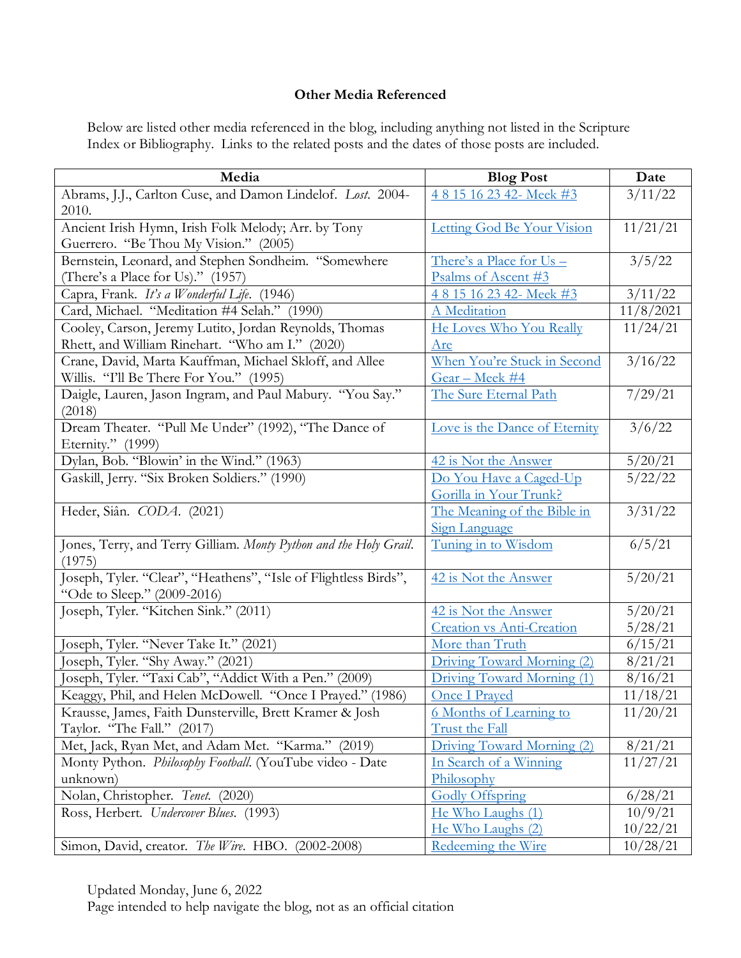## **Other Media Referenced**

Below are listed other media referenced in the blog, including anything not listed in the Scripture Index or Bibliography. Links to the related posts and the dates of those posts are included.

| Media                                                             | <b>Blog Post</b>                      | Date              |
|-------------------------------------------------------------------|---------------------------------------|-------------------|
| Abrams, J.J., Carlton Cuse, and Damon Lindelof. Lost. 2004-       | 4815162342-Meek#3                     | $\frac{3}{11}/22$ |
| 2010.                                                             |                                       |                   |
| Ancient Irish Hymn, Irish Folk Melody; Arr. by Tony               | Letting God Be Your Vision            | 11/21/21          |
| Guerrero. "Be Thou My Vision." (2005)                             |                                       |                   |
| Bernstein, Leonard, and Stephen Sondheim. "Somewhere              | There's a Place for Us -              | 3/5/22            |
| (There's a Place for Us)." (1957)                                 | Psalms of Ascent #3                   |                   |
| Capra, Frank. It's a Wonderful Life. (1946)                       | 4815162342-Meek#3                     | 3/11/22           |
| Card, Michael. "Meditation #4 Selah." (1990)                      | A Meditation                          | 11/8/2021         |
| Cooley, Carson, Jeremy Lutito, Jordan Reynolds, Thomas            | He Loves Who You Really               | 11/24/21          |
| Rhett, and William Rinehart. "Who am I." (2020)                   | <u>Are</u>                            |                   |
| Crane, David, Marta Kauffman, Michael Skloff, and Allee           | When You're Stuck in Second           | 3/16/22           |
| Willis. "I'll Be There For You." (1995)                           | <u>Gear – Meek #4</u>                 |                   |
| Daigle, Lauren, Jason Ingram, and Paul Mabury. "You Say."         | The Sure Eternal Path                 | 7/29/21           |
| (2018)                                                            |                                       |                   |
| Dream Theater. "Pull Me Under" (1992), "The Dance of              | Love is the Dance of Eternity         | 3/6/22            |
| Eternity." (1999)                                                 |                                       |                   |
| Dylan, Bob. "Blowin' in the Wind." (1963)                         | 42 is Not the Answer                  | 5/20/21           |
| Gaskill, Jerry. "Six Broken Soldiers." (1990)                     | Do You Have a Caged-Up                | 5/22/22           |
|                                                                   | Gorilla in Your Trunk?                |                   |
| Heder, Siân. CODA. (2021)                                         | The Meaning of the Bible in           | 3/31/22           |
|                                                                   | <b>Sign Language</b>                  |                   |
| Jones, Terry, and Terry Gilliam. Monty Python and the Holy Grail. | Tuning in to Wisdom                   | 6/5/21            |
| (1975)                                                            |                                       |                   |
| Joseph, Tyler. "Clear", "Heathens", "Isle of Flightless Birds",   | 42 is Not the Answer                  | 5/20/21           |
| "Ode to Sleep." (2009-2016)                                       |                                       |                   |
| Joseph, Tyler. "Kitchen Sink." (2011)                             | 42 is Not the Answer                  | 5/20/21           |
|                                                                   | <b>Creation vs Anti-Creation</b>      | 5/28/21           |
| Joseph, Tyler. "Never Take It." (2021)                            | More than Truth                       | 6/15/21           |
| [oseph, Tyler. "Shy Away." (2021)                                 | Driving Toward Morning (2)            | 8/21/21           |
| loseph, Tyler. "Taxi Cab", "Addict With a Pen." (2009)            | Driving Toward Morning (1)            | 8/16/21           |
| Keaggy, Phil, and Helen McDowell. "Once I Prayed." (1986)         | <b>Once I Prayed</b>                  | 11/18/21          |
| Krausse, James, Faith Dunsterville, Brett Kramer & Josh           | <u><b>6 Months of Learning to</b></u> | 11/20/21          |
| Taylor. "The Fall." (2017)                                        | <b>Trust the Fall</b>                 |                   |
| Met, Jack, Ryan Met, and Adam Met. "Karma." (2019)                | Driving Toward Morning (2)            | 8/21/21           |
| Monty Python. Philosophy Football. (YouTube video - Date          | In Search of a Winning                | 11/27/21          |
| unknown)                                                          | Philosophy                            |                   |
| Nolan, Christopher. Tenet. (2020)                                 | <b>Godly Offspring</b>                | 6/28/21           |
| Ross, Herbert. Undercover Blues. (1993)                           | He Who Laughs (1)                     | 10/9/21           |
|                                                                   | He Who Laughs (2)                     | 10/22/21          |
| Simon, David, creator. The Wire. HBO. (2002-2008)                 | Redeeming the Wire                    | 10/28/21          |

Updated Monday, June 6, 2022

Page intended to help navigate the blog, not as an official citation